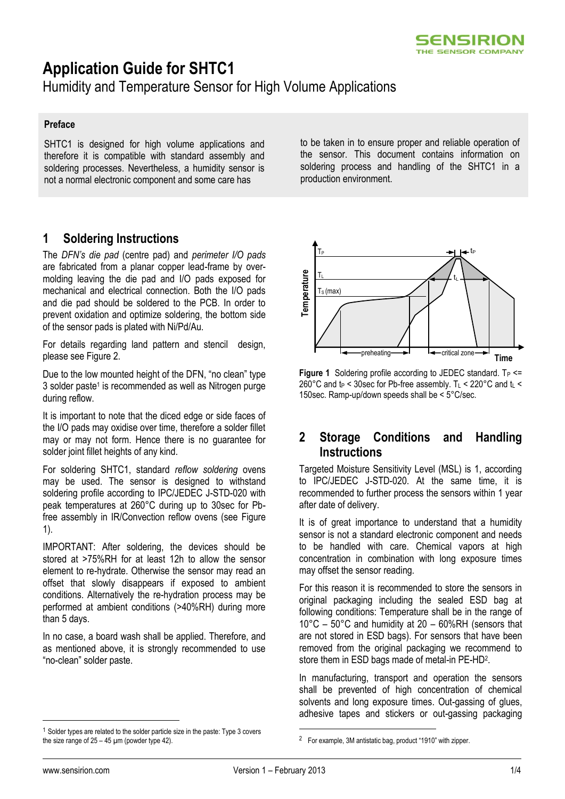

# **Application Guide for SHTC1**

Humidity and Temperature Sensor for High Volume Applications

#### **Preface**

SHTC1 is designed for high volume applications and therefore it is compatible with standard assembly and soldering processes. Nevertheless, a humidity sensor is not a normal electronic component and some care has

#### **1 Soldering Instructions**

The *DFN's die pad* (centre pad) and *perimeter I/O pads* are fabricated from a planar copper lead-frame by overmolding leaving the die pad and I/O pads exposed for mechanical and electrical connection. Both the I/O pads and die pad should be soldered to the PCB. In order to prevent oxidation and optimize soldering, the bottom side of the sensor pads is plated with Ni/Pd/Au.

For details regarding land pattern and stencil design, please see [Figure 2.](#page-1-0)

Due to the low mounted height of the DFN, "no clean" type 3 solder paste<sup>1</sup> is recommended as well as Nitrogen purge during reflow.

It is important to note that the diced edge or side faces of the I/O pads may oxidise over time, therefore a solder fillet may or may not form. Hence there is no guarantee for solder joint fillet heights of any kind.

For soldering SHTC1, standard *reflow soldering* ovens may be used. The sensor is designed to withstand soldering profile according to IPC/JEDEC J-STD-020 with peak temperatures at 260°C during up to 30sec for Pbfree assembly in IR/Convection reflow ovens (see [Figure](#page-0-0)  [1\)](#page-0-0).

IMPORTANT: After soldering, the devices should be stored at >75%RH for at least 12h to allow the sensor element to re-hydrate. Otherwise the sensor may read an offset that slowly disappears if exposed to ambient conditions. Alternatively the re-hydration process may be performed at ambient conditions (>40%RH) during more than 5 days.

In no case, a board wash shall be applied. Therefore, and as mentioned above, it is strongly recommended to use "no-clean" solder paste.

to be taken in to ensure proper and reliable operation of the sensor. This document contains information on soldering process and handling of the SHTC1 in a production environment.



<span id="page-0-0"></span>**Figure 1** Soldering profile according to JEDEC standard.  $T_P \leq$ 260°C and  $t_P$  < 30sec for Pb-free assembly. T<sub>L</sub> < 220°C and  $t_L$  < 150sec. Ramp-up/down speeds shall be < 5°C/sec.

### **2 Storage Conditions and Handling Instructions**

Targeted Moisture Sensitivity Level (MSL) is 1, according to IPC/JEDEC J-STD-020. At the same time, it is recommended to further process the sensors within 1 year after date of delivery.

It is of great importance to understand that a humidity sensor is not a standard electronic component and needs to be handled with care. Chemical vapors at high concentration in combination with long exposure times may offset the sensor reading.

For this reason it is recommended to store the sensors in original packaging including the sealed ESD bag at following conditions: Temperature shall be in the range of 10°C – 50°C and humidity at 20 – 60%RH (sensors that are not stored in ESD bags). For sensors that have been removed from the original packaging we recommend to store them in ESD bags made of metal-in PE-HD<sup>2</sup> .

In manufacturing, transport and operation the sensors shall be prevented of high concentration of chemical solvents and long exposure times. Out-gassing of glues, adhesive tapes and stickers or out-gassing packaging

l

<u>.</u>

<sup>&</sup>lt;sup>1</sup> Solder types are related to the solder particle size in the paste: Type 3 covers the size range of  $25 - 45$  µm (powder type 42).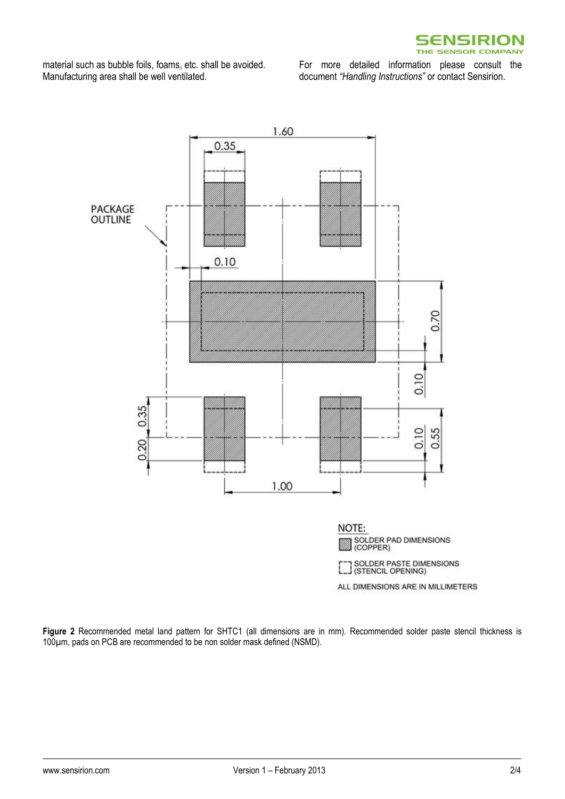

material such as bubble foils, foams, etc. shall be avoided. Manufacturing area shall be well ventilated.

For more detailed information please consult the document *"Handling Instructions"* or contact Sensirion.



<span id="page-1-0"></span>**Figure 2** Recommended metal land pattern for SHTC1 (all dimensions are in mm). Recommended solder paste stencil thickness is 100µm, pads on PCB are recommended to be non solder mask defined (NSMD).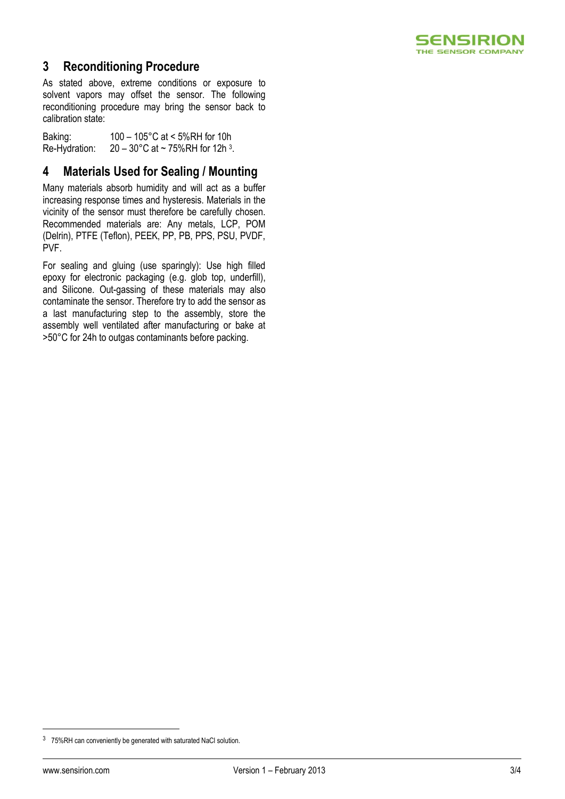

## **3 Reconditioning Procedure**

As stated above, extreme conditions or exposure to solvent vapors may offset the sensor. The following reconditioning procedure may bring the sensor back to calibration state:

Baking: 100 – 105°C at < 5%RH for 10h Re-Hydration:  $20 - 30^{\circ}$ C at ~ 75%RH for 12h <sup>3</sup>.

# **4 Materials Used for Sealing / Mounting**

Many materials absorb humidity and will act as a buffer increasing response times and hysteresis. Materials in the vicinity of the sensor must therefore be carefully chosen. Recommended materials are: Any metals, LCP, POM (Delrin), PTFE (Teflon), PEEK, PP, PB, PPS, PSU, PVDF, PVF.

For sealing and gluing (use sparingly): Use high filled epoxy for electronic packaging (e.g. glob top, underfill), and Silicone. Out-gassing of these materials may also contaminate the sensor. Therefore try to add the sensor as a last manufacturing step to the assembly, store the assembly well ventilated after manufacturing or bake at >50°C for 24h to outgas contaminants before packing.

 $\overline{a}$ 

<sup>3</sup> 75%RH can conveniently be generated with saturated NaCl solution.